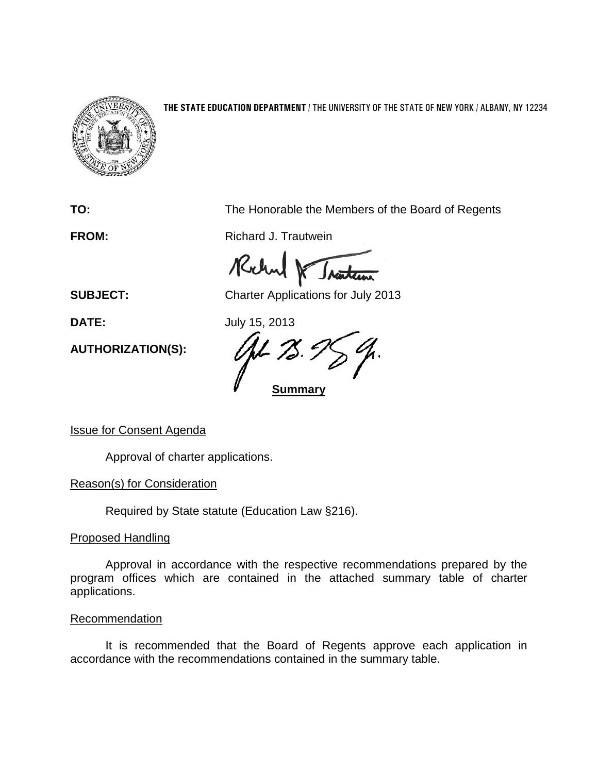

## **THE STATE EDUCATION DEPARTMENT** / THE UNIVERSITY OF THE STATE OF NEW YORK / ALBANY, NY 12234

**TO:** The Honorable the Members of the Board of Regents

**FROM:** Richard J. Trautwein

Richard

**SUBJECT:** Charter Applications for July 2013

**DATE:** July 15, 2013

**Summary**

**AUTHORIZATION(S):**

Issue for Consent Agenda

Approval of charter applications.

Reason(s) for Consideration

Required by State statute (Education Law §216).

Proposed Handling

Approval in accordance with the respective recommendations prepared by the program offices which are contained in the attached summary table of charter applications.

## **Recommendation**

It is recommended that the Board of Regents approve each application in accordance with the recommendations contained in the summary table.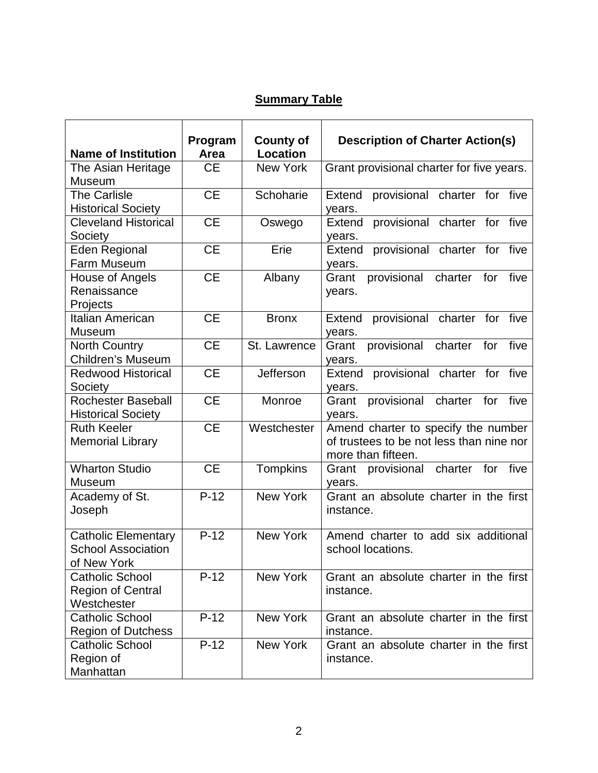## **Summary Table**

|                             | Program   | <b>County of</b> | <b>Description of Charter Action(s)</b>        |
|-----------------------------|-----------|------------------|------------------------------------------------|
| <b>Name of Institution</b>  | Area      | <b>Location</b>  |                                                |
| The Asian Heritage          | <b>CE</b> | <b>New York</b>  | Grant provisional charter for five years.      |
| Museum                      |           |                  |                                                |
| <b>The Carlisle</b>         | <b>CE</b> | Schoharie        | provisional charter for five<br>Extend         |
| <b>Historical Society</b>   |           |                  | years.                                         |
| <b>Cleveland Historical</b> | <b>CE</b> | Oswego           | provisional charter for five<br><b>Extend</b>  |
| Society                     |           |                  | years.                                         |
| <b>Eden Regional</b>        | <b>CE</b> | Erie             | provisional charter for five<br>Extend         |
| Farm Museum                 |           |                  | years.                                         |
| House of Angels             | <b>CE</b> | Albany           | provisional charter for five<br>Grant          |
| Renaissance                 |           |                  | years.                                         |
| Projects                    |           |                  |                                                |
| Italian American            | <b>CE</b> | <b>Bronx</b>     | provisional charter for five<br>Extend         |
| <b>Museum</b>               |           |                  | years.                                         |
| <b>North Country</b>        | <b>CE</b> | St. Lawrence     | provisional<br>Grant<br>charter<br>for<br>five |
| <b>Children's Museum</b>    |           |                  | years.                                         |
| <b>Redwood Historical</b>   | <b>CE</b> | Jefferson        | provisional charter for five<br>Extend         |
| Society                     |           |                  | years.                                         |
| <b>Rochester Baseball</b>   | <b>CE</b> | Monroe           | provisional charter<br>Grant<br>for<br>five    |
| <b>Historical Society</b>   |           |                  | years.                                         |
| <b>Ruth Keeler</b>          | <b>CE</b> | Westchester      | Amend charter to specify the number            |
| <b>Memorial Library</b>     |           |                  | of trustees to be not less than nine nor       |
|                             |           |                  | more than fifteen.                             |
| <b>Wharton Studio</b>       | <b>CE</b> | Tompkins         | charter<br>for<br>five<br>Grant<br>provisional |
| Museum                      |           |                  | years.                                         |
| Academy of St.              | $P-12$    | <b>New York</b>  | Grant an absolute charter in the first         |
| Joseph                      |           |                  | instance.                                      |
|                             |           |                  |                                                |
| <b>Catholic Elementary</b>  | $P-12$    | <b>New York</b>  | Amend charter to add six additional            |
| <b>School Association</b>   |           |                  | school locations.                              |
| of New York                 |           |                  |                                                |
| <b>Catholic School</b>      | $P-12$    | <b>New York</b>  | Grant an absolute charter in the first         |
| <b>Region of Central</b>    |           |                  | instance.                                      |
| Westchester                 |           |                  |                                                |
| <b>Catholic School</b>      | $P-12$    | <b>New York</b>  | Grant an absolute charter in the first         |
| <b>Region of Dutchess</b>   |           |                  | instance.                                      |
| <b>Catholic School</b>      | $P-12$    | New York         | Grant an absolute charter in the first         |
| Region of                   |           |                  | instance.                                      |
| Manhattan                   |           |                  |                                                |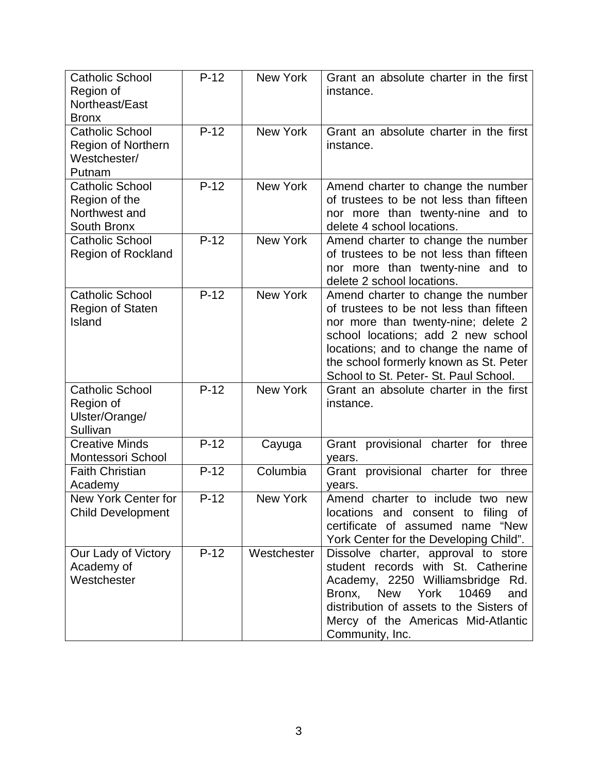| <b>Catholic School</b><br>Region of<br>Northeast/East<br><b>Bronx</b>          | $P-12$ | <b>New York</b> | Grant an absolute charter in the first<br>instance.                                                                                                                                                                                                                                   |
|--------------------------------------------------------------------------------|--------|-----------------|---------------------------------------------------------------------------------------------------------------------------------------------------------------------------------------------------------------------------------------------------------------------------------------|
| <b>Catholic School</b><br><b>Region of Northern</b><br>Westchester/<br>Putnam  | $P-12$ | New York        | Grant an absolute charter in the first<br>instance.                                                                                                                                                                                                                                   |
| <b>Catholic School</b><br>Region of the<br>Northwest and<br><b>South Bronx</b> | $P-12$ | <b>New York</b> | Amend charter to change the number<br>of trustees to be not less than fifteen<br>nor more than twenty-nine and to<br>delete 4 school locations.                                                                                                                                       |
| <b>Catholic School</b><br><b>Region of Rockland</b>                            | $P-12$ | <b>New York</b> | Amend charter to change the number<br>of trustees to be not less than fifteen<br>nor more than twenty-nine and to<br>delete 2 school locations.                                                                                                                                       |
| <b>Catholic School</b><br><b>Region of Staten</b><br>Island                    | $P-12$ | <b>New York</b> | Amend charter to change the number<br>of trustees to be not less than fifteen<br>nor more than twenty-nine; delete 2<br>school locations; add 2 new school<br>locations; and to change the name of<br>the school formerly known as St. Peter<br>School to St. Peter- St. Paul School. |
| <b>Catholic School</b><br>Region of<br>Ulster/Orange/<br>Sullivan              | $P-12$ | <b>New York</b> | Grant an absolute charter in the first<br>instance.                                                                                                                                                                                                                                   |
| <b>Creative Minds</b><br>Montessori School                                     | $P-12$ | Cayuga          | Grant provisional<br>charter for three<br>years.                                                                                                                                                                                                                                      |
| <b>Faith Christian</b><br>Academy                                              | $P-12$ | Columbia        | Grant provisional charter for three<br>years.                                                                                                                                                                                                                                         |
| New York Center for<br><b>Child Development</b>                                | $P-12$ | <b>New York</b> | Amend charter to include two new<br>locations and consent to filing of<br>certificate of assumed name "New<br>York Center for the Developing Child".                                                                                                                                  |
| Our Lady of Victory<br>Academy of<br>Westchester                               | $P-12$ | Westchester     | Dissolve charter, approval to store<br>student records with St. Catherine<br>Academy, 2250 Williamsbridge Rd.<br>10469<br>Bronx, New York<br>and<br>distribution of assets to the Sisters of<br>Mercy of the Americas Mid-Atlantic<br>Community, Inc.                                 |